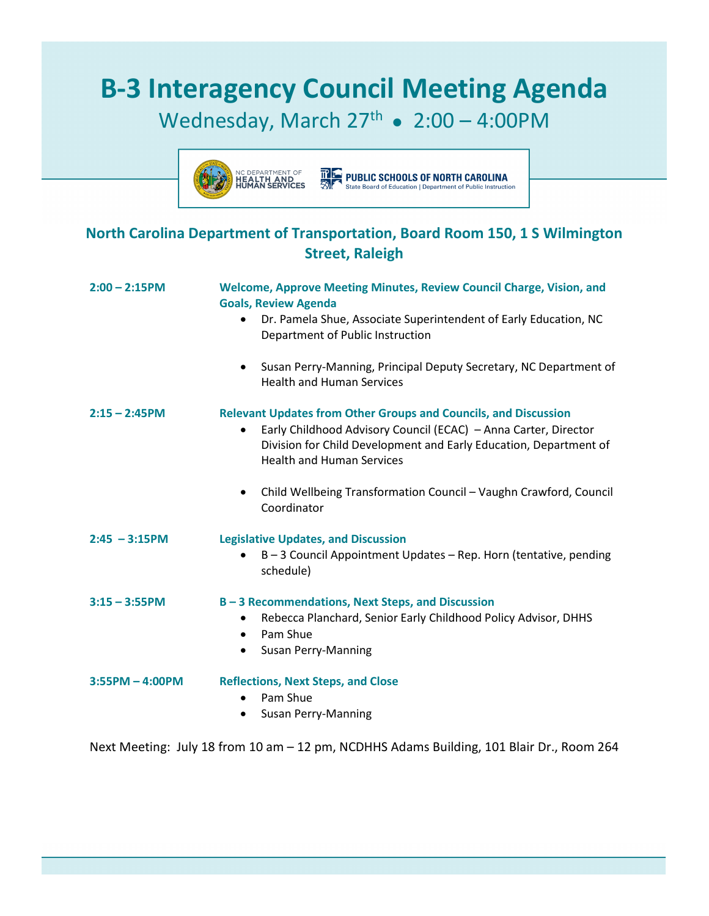## **B-3 Interagency Council Meeting Agenda**

## Wednesday, March  $27<sup>th</sup>$  • 2:00 – 4:00PM



**TPLE PUBLIC SCHOOLS OF NORTH CAROLINA**<br>**EXPENSION State Board of Education | Department of Public Instruction** 

## **North Carolina Department of Transportation, Board Room 150, 1 S Wilmington Street, Raleigh**

| $2:00 - 2:15$ PM  | <b>Welcome, Approve Meeting Minutes, Review Council Charge, Vision, and</b><br><b>Goals, Review Agenda</b>                                                                                                                                                      |
|-------------------|-----------------------------------------------------------------------------------------------------------------------------------------------------------------------------------------------------------------------------------------------------------------|
|                   | Dr. Pamela Shue, Associate Superintendent of Early Education, NC<br>Department of Public Instruction                                                                                                                                                            |
|                   | Susan Perry-Manning, Principal Deputy Secretary, NC Department of<br>٠<br><b>Health and Human Services</b>                                                                                                                                                      |
| $2:15 - 2:45$ PM  | <b>Relevant Updates from Other Groups and Councils, and Discussion</b><br>Early Childhood Advisory Council (ECAC) - Anna Carter, Director<br>$\bullet$<br>Division for Child Development and Early Education, Department of<br><b>Health and Human Services</b> |
|                   | Child Wellbeing Transformation Council - Vaughn Crawford, Council<br>$\bullet$<br>Coordinator                                                                                                                                                                   |
| $2:45 - 3:15$ PM  | <b>Legislative Updates, and Discussion</b><br>B-3 Council Appointment Updates - Rep. Horn (tentative, pending<br>schedule)                                                                                                                                      |
| $3:15 - 3:55$ PM  | B-3 Recommendations, Next Steps, and Discussion<br>Rebecca Planchard, Senior Early Childhood Policy Advisor, DHHS<br>$\bullet$<br>Pam Shue<br>$\bullet$<br><b>Susan Perry-Manning</b><br>$\bullet$                                                              |
| $3:55PM - 4:00PM$ | <b>Reflections, Next Steps, and Close</b><br>Pam Shue<br><b>Susan Perry-Manning</b>                                                                                                                                                                             |

Next Meeting: July 18 from 10 am – 12 pm, NCDHHS Adams Building, 101 Blair Dr., Room 264